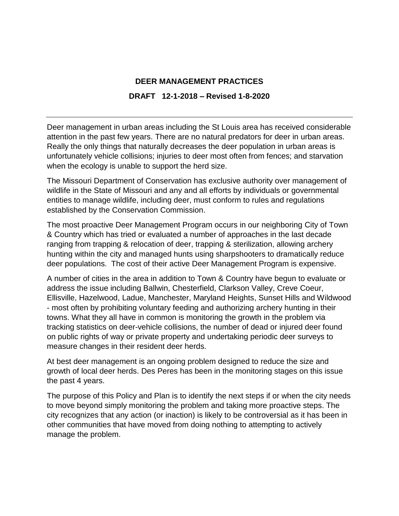#### **DEER MANAGEMENT PRACTICES**

#### **DRAFT 12-1-2018 – Revised 1-8-2020**

Deer management in urban areas including the St Louis area has received considerable attention in the past few years. There are no natural predators for deer in urban areas. Really the only things that naturally decreases the deer population in urban areas is unfortunately vehicle collisions; injuries to deer most often from fences; and starvation when the ecology is unable to support the herd size.

The Missouri Department of Conservation has exclusive authority over management of wildlife in the State of Missouri and any and all efforts by individuals or governmental entities to manage wildlife, including deer, must conform to rules and regulations established by the Conservation Commission.

The most proactive Deer Management Program occurs in our neighboring City of Town & Country which has tried or evaluated a number of approaches in the last decade ranging from trapping & relocation of deer, trapping & sterilization, allowing archery hunting within the city and managed hunts using sharpshooters to dramatically reduce deer populations. The cost of their active Deer Management Program is expensive.

A number of cities in the area in addition to Town & Country have begun to evaluate or address the issue including Ballwin, Chesterfield, Clarkson Valley, Creve Coeur, Ellisville, Hazelwood, Ladue, Manchester, Maryland Heights, Sunset Hills and Wildwood - most often by prohibiting voluntary feeding and authorizing archery hunting in their towns. What they all have in common is monitoring the growth in the problem via tracking statistics on deer-vehicle collisions, the number of dead or injured deer found on public rights of way or private property and undertaking periodic deer surveys to measure changes in their resident deer herds.

At best deer management is an ongoing problem designed to reduce the size and growth of local deer herds. Des Peres has been in the monitoring stages on this issue the past 4 years.

The purpose of this Policy and Plan is to identify the next steps if or when the city needs to move beyond simply monitoring the problem and taking more proactive steps. The city recognizes that any action (or inaction) is likely to be controversial as it has been in other communities that have moved from doing nothing to attempting to actively manage the problem.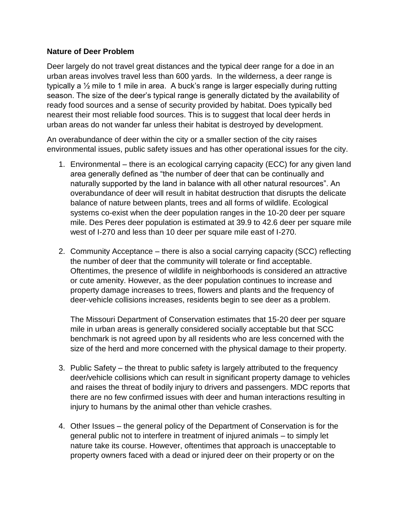#### **Nature of Deer Problem**

Deer largely do not travel great distances and the typical deer range for a doe in an urban areas involves travel less than 600 yards. In the wilderness, a deer range is typically a ½ mile to 1 mile in area. A buck's range is larger especially during rutting season. The size of the deer's typical range is generally dictated by the availability of ready food sources and a sense of security provided by habitat. Does typically bed nearest their most reliable food sources. This is to suggest that local deer herds in urban areas do not wander far unless their habitat is destroyed by development.

An overabundance of deer within the city or a smaller section of the city raises environmental issues, public safety issues and has other operational issues for the city.

- 1. Environmental there is an ecological carrying capacity (ECC) for any given land area generally defined as "the number of deer that can be continually and naturally supported by the land in balance with all other natural resources". An overabundance of deer will result in habitat destruction that disrupts the delicate balance of nature between plants, trees and all forms of wildlife. Ecological systems co-exist when the deer population ranges in the 10-20 deer per square mile. Des Peres deer population is estimated at 39.9 to 42.6 deer per square mile west of I-270 and less than 10 deer per square mile east of I-270.
- 2. Community Acceptance there is also a social carrying capacity (SCC) reflecting the number of deer that the community will tolerate or find acceptable. Oftentimes, the presence of wildlife in neighborhoods is considered an attractive or cute amenity. However, as the deer population continues to increase and property damage increases to trees, flowers and plants and the frequency of deer-vehicle collisions increases, residents begin to see deer as a problem.

The Missouri Department of Conservation estimates that 15-20 deer per square mile in urban areas is generally considered socially acceptable but that SCC benchmark is not agreed upon by all residents who are less concerned with the size of the herd and more concerned with the physical damage to their property.

- 3. Public Safety the threat to public safety is largely attributed to the frequency deer/vehicle collisions which can result in significant property damage to vehicles and raises the threat of bodily injury to drivers and passengers. MDC reports that there are no few confirmed issues with deer and human interactions resulting in injury to humans by the animal other than vehicle crashes.
- 4. Other Issues the general policy of the Department of Conservation is for the general public not to interfere in treatment of injured animals – to simply let nature take its course. However, oftentimes that approach is unacceptable to property owners faced with a dead or injured deer on their property or on the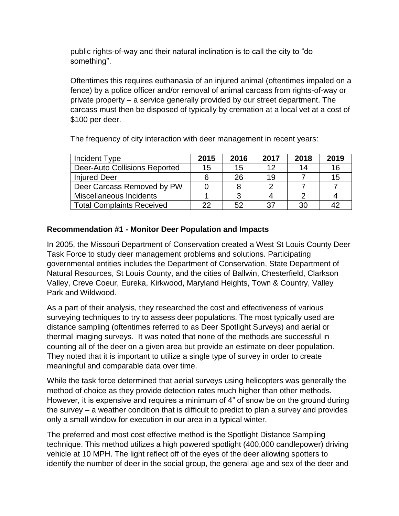public rights-of-way and their natural inclination is to call the city to "do something".

Oftentimes this requires euthanasia of an injured animal (oftentimes impaled on a fence) by a police officer and/or removal of animal carcass from rights-of-way or private property – a service generally provided by our street department. The carcass must then be disposed of typically by cremation at a local vet at a cost of \$100 per deer.

Incident Type **2015 2016 2017 2018 2019** Deer-Auto Collisions Reported | 15 | 15 | 12 | 14 | 16  $Injured Decr$   $| 6 | 26 | 19 | 7 | 15$ Deer Carcass Removed by PW 0 8 2 7 7 Miscellaneous Incidents 1 3 4 2 4 Total Complaints Received 22 52 37 30 42

The frequency of city interaction with deer management in recent years:

## **Recommendation #1 - Monitor Deer Population and Impacts**

In 2005, the Missouri Department of Conservation created a West St Louis County Deer Task Force to study deer management problems and solutions. Participating governmental entities includes the Department of Conservation, State Department of Natural Resources, St Louis County, and the cities of Ballwin, Chesterfield, Clarkson Valley, Creve Coeur, Eureka, Kirkwood, Maryland Heights, Town & Country, Valley Park and Wildwood.

As a part of their analysis, they researched the cost and effectiveness of various surveying techniques to try to assess deer populations. The most typically used are distance sampling (oftentimes referred to as Deer Spotlight Surveys) and aerial or thermal imaging surveys. It was noted that none of the methods are successful in counting all of the deer on a given area but provide an estimate on deer population. They noted that it is important to utilize a single type of survey in order to create meaningful and comparable data over time.

While the task force determined that aerial surveys using helicopters was generally the method of choice as they provide detection rates much higher than other methods. However, it is expensive and requires a minimum of 4" of snow be on the ground during the survey – a weather condition that is difficult to predict to plan a survey and provides only a small window for execution in our area in a typical winter.

The preferred and most cost effective method is the Spotlight Distance Sampling technique. This method utilizes a high powered spotlight (400,000 candlepower) driving vehicle at 10 MPH. The light reflect off of the eyes of the deer allowing spotters to identify the number of deer in the social group, the general age and sex of the deer and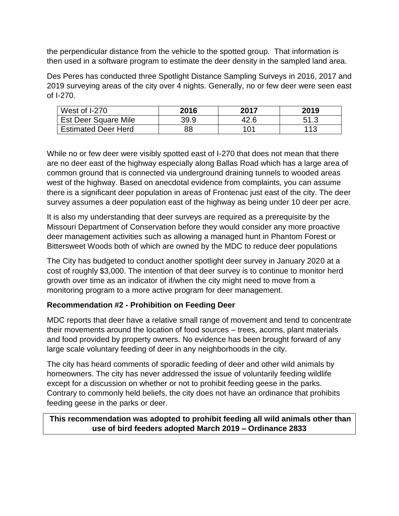the perpendicular distance from the vehicle to the spotted group. That information is then used in a software program to estimate the deer density in the sampled land area.

Des Peres has conducted three Spotlight Distance Sampling Surveys in 2016, 2017 and 2019 surveying areas of the city over 4 nights. Generally, no or few deer were seen east of I-270.

| West of I-270               | 2016 | 2017 | 2019 |
|-----------------------------|------|------|------|
| <b>Est Deer Square Mile</b> | 39.9 | 42.6 | 51.3 |
| <b>Estimated Deer Herd</b>  | 88   | 101  | 113  |

While no or few deer were visibly spotted east of I-270 that does not mean that there are no deer east of the highway especially along Ballas Road which has a large area of common ground that is connected via underground draining tunnels to wooded areas west of the highway. Based on anecdotal evidence from complaints, you can assume there is a significant deer population in areas of Frontenac just east of the city. The deer survey assumes a deer population east of the highway as being under 10 deer per acre.

It is also my understanding that deer surveys are required as a prerequisite by the Missouri Department of Conservation before they would consider any more proactive deer management activities such as allowing a managed hunt in Phantom Forest or Bittersweet Woods both of which are owned by the MDC to reduce deer populations

The City has budgeted to conduct another spotlight deer survey in January 2020 at a cost of roughly \$3,000. The intention of that deer survey is to continue to monitor herd growth over time as an indicator of if/when the city might need to move from a monitoring program to a more active program for deer management.

### **Recommendation #2 - Prohibition on Feeding Deer**

MDC reports that deer have a relative small range of movement and tend to concentrate their movements around the location of food sources – trees, acorns, plant materials and food provided by property owners. No evidence has been brought forward of any large scale voluntary feeding of deer in any neighborhoods in the city.

The city has heard comments of sporadic feeding of deer and other wild animals by homeowners. The city has never addressed the issue of voluntarily feeding wildlife except for a discussion on whether or not to prohibit feeding geese in the parks. Contrary to commonly held beliefs, the city does not have an ordinance that prohibits feeding geese in the parks or deer.

# **This recommendation was adopted to prohibit feeding all wild animals other than use of bird feeders adopted March 2019 – Ordinance 2833**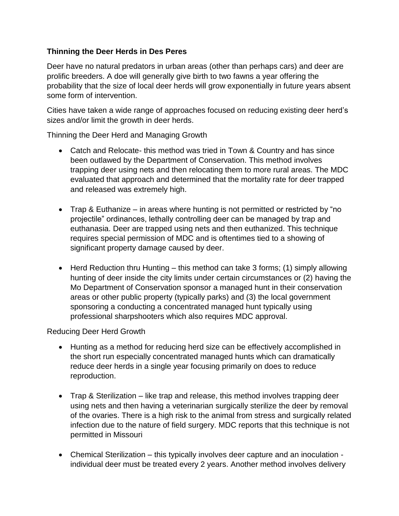### **Thinning the Deer Herds in Des Peres**

Deer have no natural predators in urban areas (other than perhaps cars) and deer are prolific breeders. A doe will generally give birth to two fawns a year offering the probability that the size of local deer herds will grow exponentially in future years absent some form of intervention.

Cities have taken a wide range of approaches focused on reducing existing deer herd's sizes and/or limit the growth in deer herds.

Thinning the Deer Herd and Managing Growth

- Catch and Relocate- this method was tried in Town & Country and has since been outlawed by the Department of Conservation. This method involves trapping deer using nets and then relocating them to more rural areas. The MDC evaluated that approach and determined that the mortality rate for deer trapped and released was extremely high.
- Trap & Euthanize in areas where hunting is not permitted or restricted by "no projectile" ordinances, lethally controlling deer can be managed by trap and euthanasia. Deer are trapped using nets and then euthanized. This technique requires special permission of MDC and is oftentimes tied to a showing of significant property damage caused by deer.
- Herd Reduction thru Hunting this method can take 3 forms; (1) simply allowing hunting of deer inside the city limits under certain circumstances or (2) having the Mo Department of Conservation sponsor a managed hunt in their conservation areas or other public property (typically parks) and (3) the local government sponsoring a conducting a concentrated managed hunt typically using professional sharpshooters which also requires MDC approval.

Reducing Deer Herd Growth

- Hunting as a method for reducing herd size can be effectively accomplished in the short run especially concentrated managed hunts which can dramatically reduce deer herds in a single year focusing primarily on does to reduce reproduction.
- Trap & Sterilization like trap and release, this method involves trapping deer using nets and then having a veterinarian surgically sterilize the deer by removal of the ovaries. There is a high risk to the animal from stress and surgically related infection due to the nature of field surgery. MDC reports that this technique is not permitted in Missouri
- Chemical Sterilization this typically involves deer capture and an inoculation individual deer must be treated every 2 years. Another method involves delivery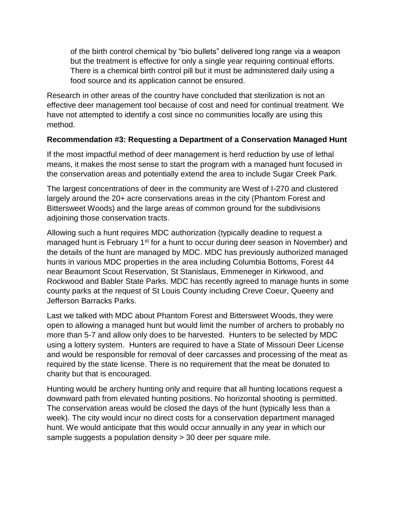of the birth control chemical by "bio bullets" delivered long range via a weapon but the treatment is effective for only a single year requiring continual efforts. There is a chemical birth control pill but it must be administered daily using a food source and its application cannot be ensured.

Research in other areas of the country have concluded that sterilization is not an effective deer management tool because of cost and need for continual treatment. We have not attempted to identify a cost since no communities locally are using this method.

### **Recommendation #3: Requesting a Department of a Conservation Managed Hunt**

If the most impactful method of deer management is herd reduction by use of lethal means, it makes the most sense to start the program with a managed hunt focused in the conservation areas and potentially extend the area to include Sugar Creek Park.

The largest concentrations of deer in the community are West of I-270 and clustered largely around the 20+ acre conservations areas in the city (Phantom Forest and Bittersweet Woods) and the large areas of common ground for the subdivisions adjoining those conservation tracts.

Allowing such a hunt requires MDC authorization (typically deadine to request a managed hunt is February 1<sup>st</sup> for a hunt to occur during deer season in November) and the details of the hunt are managed by MDC. MDC has previously authorized managed hunts in various MDC properties in the area including Columbia Bottoms, Forest 44 near Beaumont Scout Reservation, St Stanislaus, Emmeneger in Kirkwood, and Rockwood and Babler State Parks. MDC has recently agreed to manage hunts in some county parks at the request of St Louis County including Creve Coeur, Queeny and Jefferson Barracks Parks.

Last we talked with MDC about Phantom Forest and Bittersweet Woods, they were open to allowing a managed hunt but would limit the number of archers to probably no more than 5-7 and allow only does to be harvested. Hunters to be selected by MDC using a lottery system. Hunters are required to have a State of Missouri Deer License and would be responsible for removal of deer carcasses and processing of the meat as required by the state license. There is no requirement that the meat be donated to charity but that is encouraged.

Hunting would be archery hunting only and require that all hunting locations request a downward path from elevated hunting positions. No horizontal shooting is permitted. The conservation areas would be closed the days of the hunt (typically less than a week). The city would incur no direct costs for a conservation department managed hunt. We would anticipate that this would occur annually in any year in which our sample suggests a population density > 30 deer per square mile.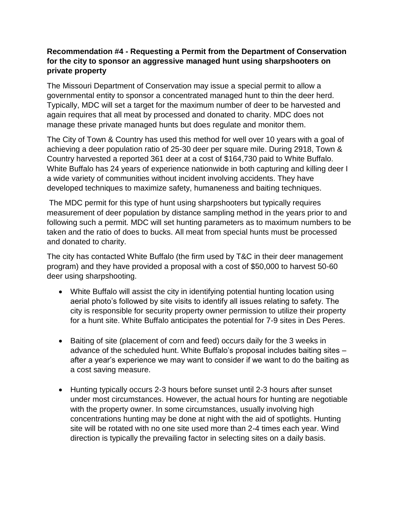### **Recommendation #4 - Requesting a Permit from the Department of Conservation for the city to sponsor an aggressive managed hunt using sharpshooters on private property**

The Missouri Department of Conservation may issue a special permit to allow a governmental entity to sponsor a concentrated managed hunt to thin the deer herd. Typically, MDC will set a target for the maximum number of deer to be harvested and again requires that all meat by processed and donated to charity. MDC does not manage these private managed hunts but does regulate and monitor them.

The City of Town & Country has used this method for well over 10 years with a goal of achieving a deer population ratio of 25-30 deer per square mile. During 2918, Town & Country harvested a reported 361 deer at a cost of \$164,730 paid to White Buffalo. White Buffalo has 24 years of experience nationwide in both capturing and killing deer I a wide variety of communities without incident involving accidents. They have developed techniques to maximize safety, humaneness and baiting techniques.

The MDC permit for this type of hunt using sharpshooters but typically requires measurement of deer population by distance sampling method in the years prior to and following such a permit. MDC will set hunting parameters as to maximum numbers to be taken and the ratio of does to bucks. All meat from special hunts must be processed and donated to charity.

The city has contacted White Buffalo (the firm used by T&C in their deer management program) and they have provided a proposal with a cost of \$50,000 to harvest 50-60 deer using sharpshooting.

- White Buffalo will assist the city in identifying potential hunting location using aerial photo's followed by site visits to identify all issues relating to safety. The city is responsible for security property owner permission to utilize their property for a hunt site. White Buffalo anticipates the potential for 7-9 sites in Des Peres.
- Baiting of site (placement of corn and feed) occurs daily for the 3 weeks in advance of the scheduled hunt. White Buffalo's proposal includes baiting sites – after a year's experience we may want to consider if we want to do the baiting as a cost saving measure.
- Hunting typically occurs 2-3 hours before sunset until 2-3 hours after sunset under most circumstances. However, the actual hours for hunting are negotiable with the property owner. In some circumstances, usually involving high concentrations hunting may be done at night with the aid of spotlights. Hunting site will be rotated with no one site used more than 2-4 times each year. Wind direction is typically the prevailing factor in selecting sites on a daily basis.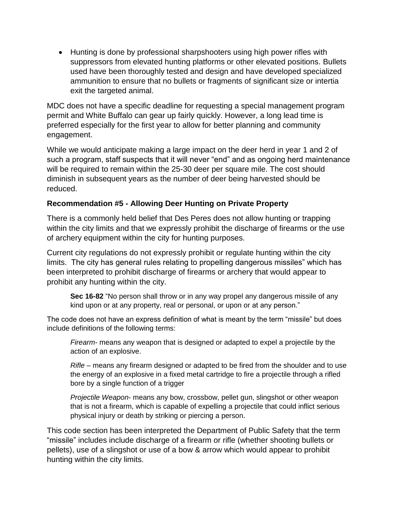• Hunting is done by professional sharpshooters using high power rifles with suppressors from elevated hunting platforms or other elevated positions. Bullets used have been thoroughly tested and design and have developed specialized ammunition to ensure that no bullets or fragments of significant size or intertia exit the targeted animal.

MDC does not have a specific deadline for requesting a special management program permit and White Buffalo can gear up fairly quickly. However, a long lead time is preferred especially for the first year to allow for better planning and community engagement.

While we would anticipate making a large impact on the deer herd in year 1 and 2 of such a program, staff suspects that it will never "end" and as ongoing herd maintenance will be required to remain within the 25-30 deer per square mile. The cost should diminish in subsequent years as the number of deer being harvested should be reduced.

### **Recommendation #5 - Allowing Deer Hunting on Private Property**

There is a commonly held belief that Des Peres does not allow hunting or trapping within the city limits and that we expressly prohibit the discharge of firearms or the use of archery equipment within the city for hunting purposes.

Current city regulations do not expressly prohibit or regulate hunting within the city limits. The city has general rules relating to propelling dangerous missiles" which has been interpreted to prohibit discharge of firearms or archery that would appear to prohibit any hunting within the city.

**Sec 16-82** "No person shall throw or in any way propel any dangerous missile of any kind upon or at any property, real or personal, or upon or at any person."

The code does not have an express definition of what is meant by the term "missile" but does include definitions of the following terms:

*Firearm-* means any weapon that is designed or adapted to expel a projectile by the action of an explosive.

*Rifle –* means any firearm designed or adapted to be fired from the shoulder and to use the energy of an explosive in a fixed metal cartridge to fire a projectile through a rifled bore by a single function of a trigger

*Projectile Weapon-* means any bow, crossbow, pellet gun, slingshot or other weapon that is not a firearm, which is capable of expelling a projectile that could inflict serious physical injury or death by striking or piercing a person.

This code section has been interpreted the Department of Public Safety that the term "missile" includes include discharge of a firearm or rifle (whether shooting bullets or pellets), use of a slingshot or use of a bow & arrow which would appear to prohibit hunting within the city limits.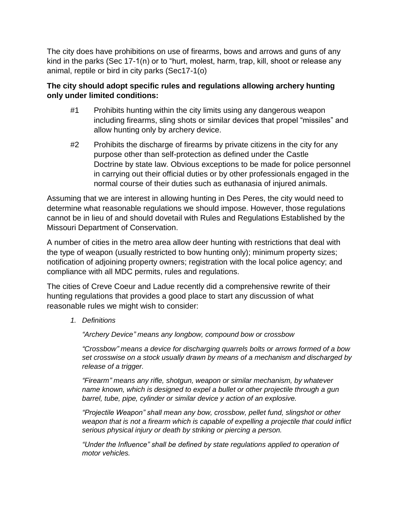The city does have prohibitions on use of firearms, bows and arrows and guns of any kind in the parks (Sec 17-1(n) or to "hurt, molest, harm, trap, kill, shoot or release any animal, reptile or bird in city parks (Sec17-1(o)

### **The city should adopt specific rules and regulations allowing archery hunting only under limited conditions:**

- #1 Prohibits hunting within the city limits using any dangerous weapon including firearms, sling shots or similar devices that propel "missiles" and allow hunting only by archery device.
- #2 Prohibits the discharge of firearms by private citizens in the city for any purpose other than self-protection as defined under the Castle Doctrine by state law. Obvious exceptions to be made for police personnel in carrying out their official duties or by other professionals engaged in the normal course of their duties such as euthanasia of injured animals.

Assuming that we are interest in allowing hunting in Des Peres, the city would need to determine what reasonable regulations we should impose. However, those regulations cannot be in lieu of and should dovetail with Rules and Regulations Established by the Missouri Department of Conservation.

A number of cities in the metro area allow deer hunting with restrictions that deal with the type of weapon (usually restricted to bow hunting only); minimum property sizes; notification of adjoining property owners; registration with the local police agency; and compliance with all MDC permits, rules and regulations.

The cities of Creve Coeur and Ladue recently did a comprehensive rewrite of their hunting regulations that provides a good place to start any discussion of what reasonable rules we might wish to consider:

*1. Definitions*

*"Archery Device" means any longbow, compound bow or crossbow*

*"Crossbow" means a device for discharging quarrels bolts or arrows formed of a bow set crosswise on a stock usually drawn by means of a mechanism and discharged by release of a trigger.*

*"Firearm" means any rifle, shotgun, weapon or similar mechanism, by whatever name known, which is designed to expel a bullet or other projectile through a gun barrel, tube, pipe, cylinder or similar device y action of an explosive.*

*"Projectile Weapon" shall mean any bow, crossbow, pellet fund, slingshot or other weapon that is not a firearm which is capable of expelling a projectile that could inflict serious physical injury or death by striking or piercing a person.*

*"Under the Influence" shall be defined by state regulations applied to operation of motor vehicles.*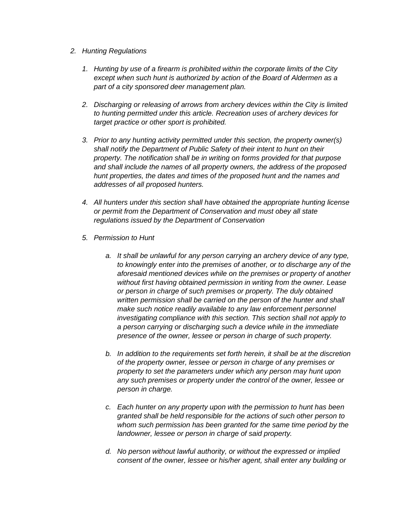- *2. Hunting Regulations*
	- *1. Hunting by use of a firearm is prohibited within the corporate limits of the City except when such hunt is authorized by action of the Board of Aldermen as a part of a city sponsored deer management plan.*
	- *2. Discharging or releasing of arrows from archery devices within the City is limited to hunting permitted under this article. Recreation uses of archery devices for target practice or other sport is prohibited.*
	- *3. Prior to any hunting activity permitted under this section, the property owner(s) shall notify the Department of Public Safety of their intent to hunt on their property. The notification shall be in writing on forms provided for that purpose and shall include the names of all property owners, the address of the proposed hunt properties, the dates and times of the proposed hunt and the names and addresses of all proposed hunters.*
	- *4. All hunters under this section shall have obtained the appropriate hunting license or permit from the Department of Conservation and must obey all state regulations issued by the Department of Conservation*
	- *5. Permission to Hunt*
		- *a. It shall be unlawful for any person carrying an archery device of any type, to knowingly enter into the premises of another, or to discharge any of the aforesaid mentioned devices while on the premises or property of another without first having obtained permission in writing from the owner. Lease or person in charge of such premises or property. The duly obtained written permission shall be carried on the person of the hunter and shall make such notice readily available to any law enforcement personnel investigating compliance with this section. This section shall not apply to a person carrying or discharging such a device while in the immediate presence of the owner, lessee or person in charge of such property.*
		- *b. In addition to the requirements set forth herein, it shall be at the discretion of the property owner, lessee or person in charge of any premises or property to set the parameters under which any person may hunt upon any such premises or property under the control of the owner, lessee or person in charge.*
		- *c. Each hunter on any property upon with the permission to hunt has been granted shall be held responsible for the actions of such other person to whom such permission has been granted for the same time period by the landowner, lessee or person in charge of said property.*
		- *d. No person without lawful authority, or without the expressed or implied consent of the owner, lessee or his/her agent, shall enter any building or*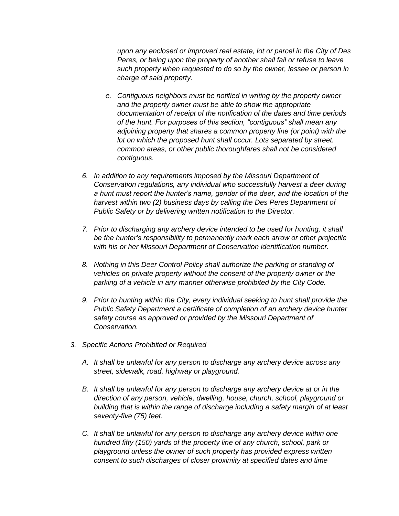*upon any enclosed or improved real estate, lot or parcel in the City of Des Peres, or being upon the property of another shall fail or refuse to leave such property when requested to do so by the owner, lessee or person in charge of said property.*

- *e. Contiguous neighbors must be notified in writing by the property owner and the property owner must be able to show the appropriate documentation of receipt of the notification of the dates and time periods of the hunt. For purposes of this section, "contiguous" shall mean any adjoining property that shares a common property line (or point) with the lot on which the proposed hunt shall occur. Lots separated by street. common areas, or other public thoroughfares shall not be considered contiguous.*
- *6. In addition to any requirements imposed by the Missouri Department of Conservation regulations, any individual who successfully harvest a deer during a hunt must report the hunter's name, gender of the deer, and the location of the harvest within two (2) business days by calling the Des Peres Department of Public Safety or by delivering written notification to the Director.*
- *7. Prior to discharging any archery device intended to be used for hunting, it shall be the hunter's responsibility to permanently mark each arrow or other projectile with his or her Missouri Department of Conservation identification number.*
- *8. Nothing in this Deer Control Policy shall authorize the parking or standing of vehicles on private property without the consent of the property owner or the parking of a vehicle in any manner otherwise prohibited by the City Code.*
- *9. Prior to hunting within the City, every individual seeking to hunt shall provide the Public Safety Department a certificate of completion of an archery device hunter safety course as approved or provided by the Missouri Department of Conservation.*
- *3. Specific Actions Prohibited or Required*
	- *A. It shall be unlawful for any person to discharge any archery device across any street, sidewalk, road, highway or playground.*
	- *B. It shall be unlawful for any person to discharge any archery device at or in the direction of any person, vehicle, dwelling, house, church, school, playground or building that is within the range of discharge including a safety margin of at least seventy-five (75) feet.*
	- *C. It shall be unlawful for any person to discharge any archery device within one hundred fifty (150) yards of the property line of any church, school, park or playground unless the owner of such property has provided express written consent to such discharges of closer proximity at specified dates and time*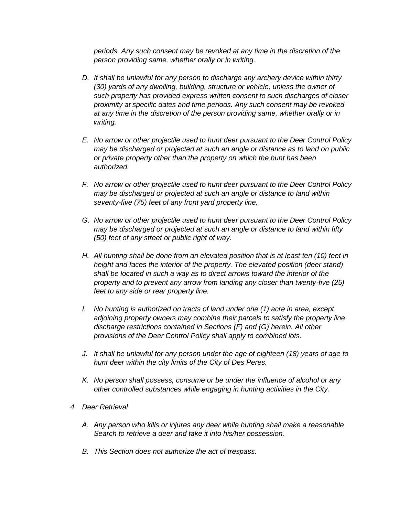*periods. Any such consent may be revoked at any time in the discretion of the person providing same, whether orally or in writing.*

- *D. It shall be unlawful for any person to discharge any archery device within thirty (30) yards of any dwelling, building, structure or vehicle, unless the owner of such property has provided express written consent to such discharges of closer proximity at specific dates and time periods. Any such consent may be revoked at any time in the discretion of the person providing same, whether orally or in writing.*
- *E. No arrow or other projectile used to hunt deer pursuant to the Deer Control Policy may be discharged or projected at such an angle or distance as to land on public or private property other than the property on which the hunt has been authorized.*
- *F. No arrow or other projectile used to hunt deer pursuant to the Deer Control Policy may be discharged or projected at such an angle or distance to land within seventy-five (75) feet of any front yard property line.*
- *G. No arrow or other projectile used to hunt deer pursuant to the Deer Control Policy may be discharged or projected at such an angle or distance to land within fifty (50) feet of any street or public right of way.*
- *H. All hunting shall be done from an elevated position that is at least ten (10) feet in height and faces the interior of the property. The elevated position (deer stand) shall be located in such a way as to direct arrows toward the interior of the property and to prevent any arrow from landing any closer than twenty-five (25) feet to any side or rear property line.*
- *I. No hunting is authorized on tracts of land under one (1) acre in area, except adjoining property owners may combine their parcels to satisfy the property line discharge restrictions contained in Sections (F) and (G) herein. All other provisions of the Deer Control Policy shall apply to combined lots.*
- *J. It shall be unlawful for any person under the age of eighteen (18) years of age to hunt deer within the city limits of the City of Des Peres.*
- *K. No person shall possess, consume or be under the influence of alcohol or any other controlled substances while engaging in hunting activities in the City.*
- *4. Deer Retrieval*
	- *A. Any person who kills or injures any deer while hunting shall make a reasonable Search to retrieve a deer and take it into his/her possession.*
	- *B. This Section does not authorize the act of trespass.*